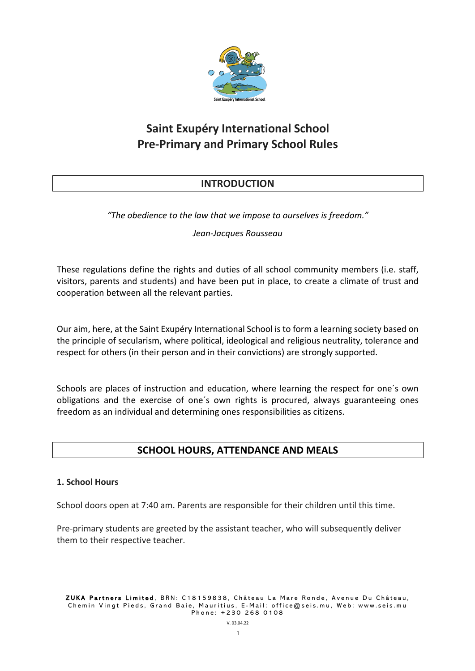

# **Saint Exupéry International School Pre-Primary and Primary School Rules**

# **INTRODUCTION**

*"The obedience to the law that we impose to ourselves is freedom."*

# *Jean-Jacques Rousseau*

These regulations define the rights and duties of all school community members (i.e. staff, visitors, parents and students) and have been put in place, to create a climate of trust and cooperation between all the relevant parties.

Our aim, here, at the Saint Exupéry International School is to form a learning society based on the principle of secularism, where political, ideological and religious neutrality, tolerance and respect for others (in their person and in their convictions) are strongly supported.

Schools are places of instruction and education, where learning the respect for one´s own obligations and the exercise of one´s own rights is procured, always guaranteeing ones freedom as an individual and determining ones responsibilities as citizens.

# **SCHOOL HOURS, ATTENDANCE AND MEALS**

#### **1. School Hours**

School doors open at 7:40 am. Parents are responsible for their children until this time.

Pre-primary students are greeted by the assistant teacher, who will subsequently deliver them to their respective teacher.

ZUKA Partners Limited , BRN: C18159838, Château La Mare Ronde, Avenue Du Château, Chemin Vingt Pieds, Grand Baie, Mauritius, E - Mail: office@seis.mu , Web: www.seis.mu Phone: +230 268 0108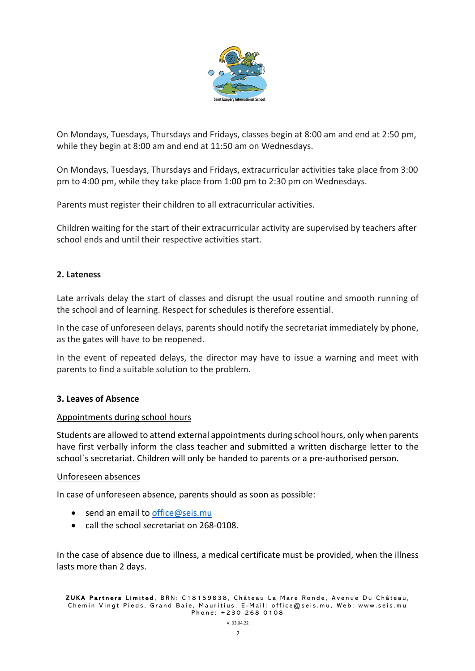

On Mondays, Tuesdays, Thursdays and Fridays, classes begin at 8:00 am and end at 2:50 pm, while they begin at 8:00 am and end at 11:50 am on Wednesdays.

On Mondays, Tuesdays, Thursdays and Fridays, extracurricular activities take place from 3:00 pm to 4:00 pm, while they take place from 1:00 pm to 2:30 pm on Wednesdays.

Parents must register their children to all extracurricular activities.

Children waiting for the start of their extracurricular activity are supervised by teachers after school ends and until their respective activities start.

#### **2. Lateness**

Late arrivals delay the start of classes and disrupt the usual routine and smooth running of the school and of learning. Respect for schedules is therefore essential.

In the case of unforeseen delays, parents should notify the secretariat immediately by phone, as the gates will have to be reopened.

In the event of repeated delays, the director may have to issue a warning and meet with parents to find a suitable solution to the problem.

#### **3. Leaves of Absence**

#### Appointments during school hours

Students are allowed to attend external appointments during school hours, only when parents have first verbally inform the class teacher and submitted a written discharge letter to the school´s secretariat. Children will only be handed to parents or a pre-authorised person.

#### Unforeseen absences

In case of unforeseen absence, parents should as soon as possible:

- send an email to office@seis.mu
- call the school secretariat on 268-0108.

In the case of absence due to illness, a medical certificate must be provided, when the illness lasts more than 2 days.

ZUKA Partners Limited , BRN: C18159838, Château La Mare Ronde, Avenue Du Château, Chemin Vingt Pieds, Grand Baie, Mauritius, E - Mail: office@seis.mu , Web: www.seis.mu Phone: +230 268 0108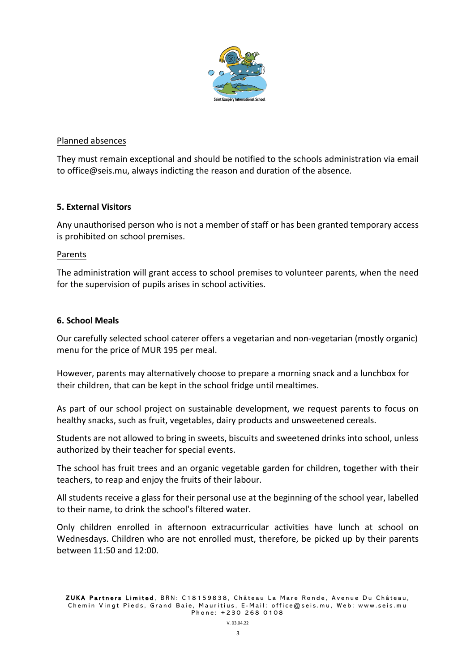

#### Planned absences

They must remain exceptional and should be notified to the schools administration via email to office@seis.mu, always indicting the reason and duration of the absence.

#### **5. External Visitors**

Any unauthorised person who is not a member of staff or has been granted temporary access is prohibited on school premises.

#### Parents

The administration will grant access to school premises to volunteer parents, when the need for the supervision of pupils arises in school activities.

#### **6. School Meals**

Our carefully selected school caterer offers a vegetarian and non-vegetarian (mostly organic) menu for the price of MUR 195 per meal.

However, parents may alternatively choose to prepare a morning snack and a lunchbox for their children, that can be kept in the school fridge until mealtimes.

As part of our school project on sustainable development, we request parents to focus on healthy snacks, such as fruit, vegetables, dairy products and unsweetened cereals.

Students are not allowed to bring in sweets, biscuits and sweetened drinks into school, unless authorized by their teacher for special events.

The school has fruit trees and an organic vegetable garden for children, together with their teachers, to reap and enjoy the fruits of their labour.

All students receive a glass for their personal use at the beginning of the school year, labelled to their name, to drink the school's filtered water.

Only children enrolled in afternoon extracurricular activities have lunch at school on Wednesdays. Children who are not enrolled must, therefore, be picked up by their parents between 11:50 and 12:00.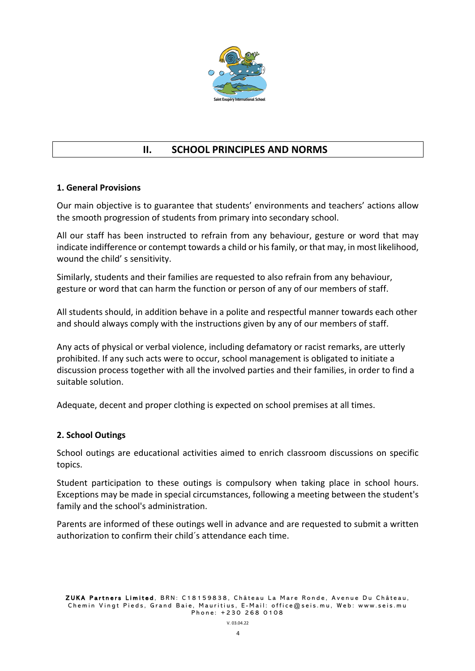

# **II. SCHOOL PRINCIPLES AND NORMS**

# **1. General Provisions**

Our main objective is to guarantee that students' environments and teachers' actions allow the smooth progression of students from primary into secondary school.

All our staff has been instructed to refrain from any behaviour, gesture or word that may indicate indifference or contempt towards a child or his family, or that may, in most likelihood, wound the child' s sensitivity.

Similarly, students and their families are requested to also refrain from any behaviour, gesture or word that can harm the function or person of any of our members of staff.

All students should, in addition behave in a polite and respectful manner towards each other and should always comply with the instructions given by any of our members of staff.

Any acts of physical or verbal violence, including defamatory or racist remarks, are utterly prohibited. If any such acts were to occur, school management is obligated to initiate a discussion process together with all the involved parties and their families, in order to find a suitable solution.

Adequate, decent and proper clothing is expected on school premises at all times.

#### **2. School Outings**

School outings are educational activities aimed to enrich classroom discussions on specific topics.

Student participation to these outings is compulsory when taking place in school hours. Exceptions may be made in special circumstances, following a meeting between the student's family and the school's administration.

Parents are informed of these outings well in advance and are requested to submit a written authorization to confirm their child´s attendance each time.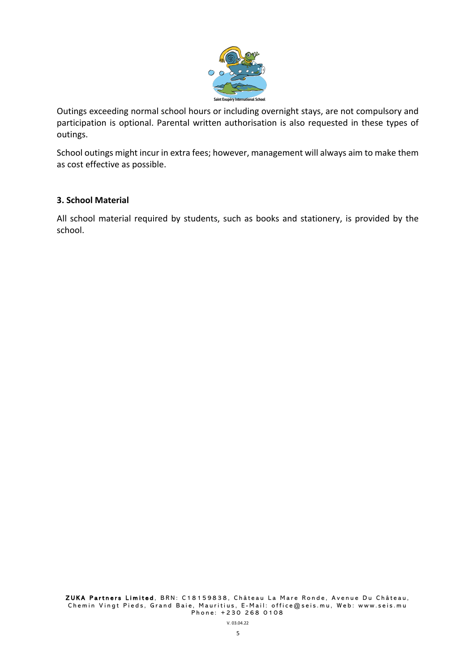

Outings exceeding normal school hours or including overnight stays, are not compulsory and participation is optional. Parental written authorisation is also requested in these types of outings.

School outings might incur in extra fees; however, management will always aim to make them as cost effective as possible.

#### **3. School Material**

All school material required by students, such as books and stationery, is provided by the school.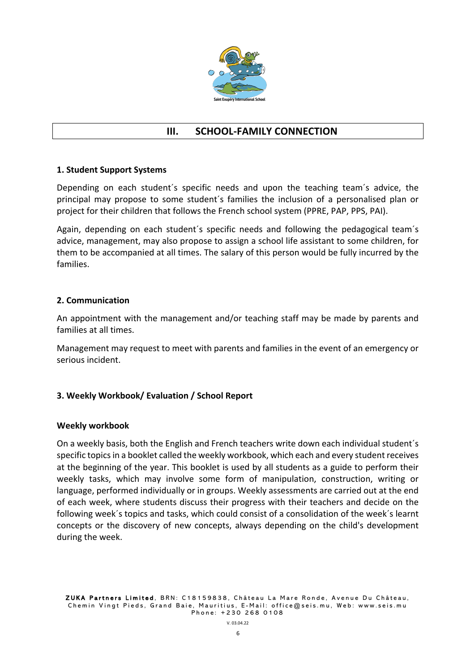

# **III. SCHOOL-FAMILY CONNECTION**

# **1. Student Support Systems**

Depending on each student´s specific needs and upon the teaching team´s advice, the principal may propose to some student´s families the inclusion of a personalised plan or project for their children that follows the French school system (PPRE, PAP, PPS, PAI).

Again, depending on each student´s specific needs and following the pedagogical team´s advice, management, may also propose to assign a school life assistant to some children, for them to be accompanied at all times. The salary of this person would be fully incurred by the families.

#### **2. Communication**

An appointment with the management and/or teaching staff may be made by parents and families at all times.

Management may request to meet with parents and families in the event of an emergency or serious incident.

#### **3. Weekly Workbook/ Evaluation / School Report**

#### **Weekly workbook**

On a weekly basis, both the English and French teachers write down each individual student´s specific topics in a booklet called the weekly workbook, which each and every student receives at the beginning of the year. This booklet is used by all students as a guide to perform their weekly tasks, which may involve some form of manipulation, construction, writing or language, performed individually or in groups. Weekly assessments are carried out at the end of each week, where students discuss their progress with their teachers and decide on the following week´s topics and tasks, which could consist of a consolidation of the week´s learnt concepts or the discovery of new concepts, always depending on the child's development during the week.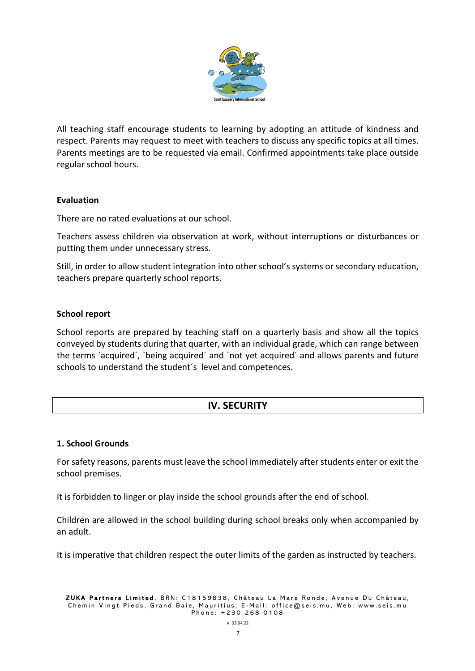

All teaching staff encourage students to learning by adopting an attitude of kindness and respect. Parents may request to meet with teachers to discuss any specific topics at all times. Parents meetings are to be requested via email. Confirmed appointments take place outside regular school hours.

# **Evaluation**

There are no rated evaluations at our school.

Teachers assess children via observation at work, without interruptions or disturbances or putting them under unnecessary stress.

Still, in order to allow student integration into other school's systems or secondary education, teachers prepare quarterly school reports.

# **School report**

School reports are prepared by teaching staff on a quarterly basis and show all the topics conveyed by students during that quarter, with an individual grade, which can range between the terms `acquired´, `being acquired´ and `not yet acquired´ and allows parents and future schools to understand the student´s level and competences.

# **IV. SECURITY**

#### **1. School Grounds**

For safety reasons, parents must leave the school immediately after students enter or exit the school premises.

It is forbidden to linger or play inside the school grounds after the end of school.

Children are allowed in the school building during school breaks only when accompanied by an adult.

It is imperative that children respect the outer limits of the garden as instructed by teachers.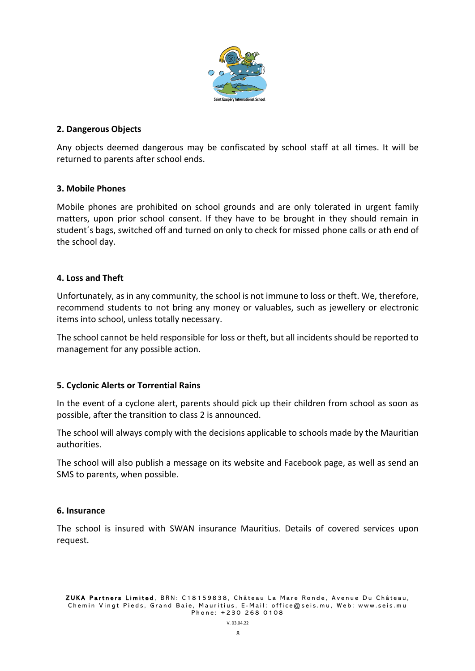

# **2. Dangerous Objects**

Any objects deemed dangerous may be confiscated by school staff at all times. It will be returned to parents after school ends.

# **3. Mobile Phones**

Mobile phones are prohibited on school grounds and are only tolerated in urgent family matters, upon prior school consent. If they have to be brought in they should remain in student´s bags, switched off and turned on only to check for missed phone calls or ath end of the school day.

# **4. Loss and Theft**

Unfortunately, as in any community, the school is not immune to loss or theft. We, therefore, recommend students to not bring any money or valuables, such as jewellery or electronic items into school, unless totally necessary.

The school cannot be held responsible for loss or theft, but all incidents should be reported to management for any possible action.

# **5. Cyclonic Alerts or Torrential Rains**

In the event of a cyclone alert, parents should pick up their children from school as soon as possible, after the transition to class 2 is announced.

The school will always comply with the decisions applicable to schools made by the Mauritian authorities.

The school will also publish a message on its website and Facebook page, as well as send an SMS to parents, when possible.

#### **6. Insurance**

The school is insured with SWAN insurance Mauritius. Details of covered services upon request.

ZUKA Partners Limited , BRN: C18159838, Château La Mare Ronde, Avenue Du Château, Chemin Vingt Pieds, Grand Baie, Mauritius, E - Mail: office@seis.mu , Web: www.seis.mu Phone: +230 268 0108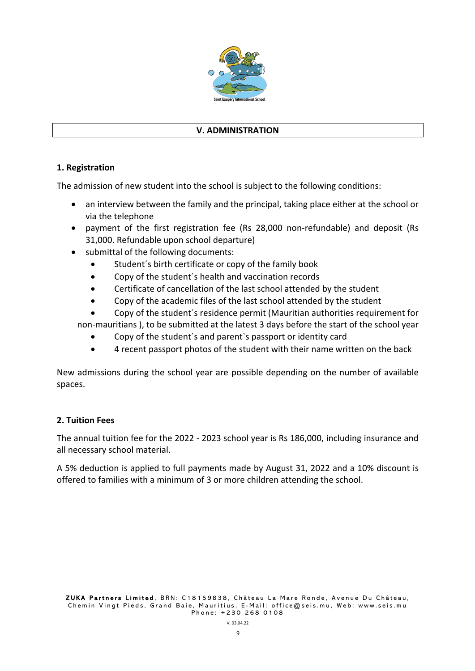

#### **V. ADMINISTRATION**

# **1. Registration**

The admission of new student into the school is subject to the following conditions:

- an interview between the family and the principal, taking place either at the school or via the telephone
- payment of the first registration fee (Rs 28,000 non-refundable) and deposit (Rs 31,000. Refundable upon school departure)
- submittal of the following documents:
	- Student´s birth certificate or copy of the family book
	- Copy of the student´s health and vaccination records
	- Certificate of cancellation of the last school attended by the student
	- Copy of the academic files of the last school attended by the student
	- Copy of the student´s residence permit (Mauritian authorities requirement for
	- non-mauritians ), to be submitted at the latest 3 days before the start of the school year
		- Copy of the student´s and parent`s passport or identity card
		- 4 recent passport photos of the student with their name written on the back

New admissions during the school year are possible depending on the number of available spaces.

#### **2. Tuition Fees**

The annual tuition fee for the 2022 - 2023 school year is Rs 186,000, including insurance and all necessary school material.

A 5% deduction is applied to full payments made by August 31, 2022 and a 10% discount is offered to families with a minimum of 3 or more children attending the school.